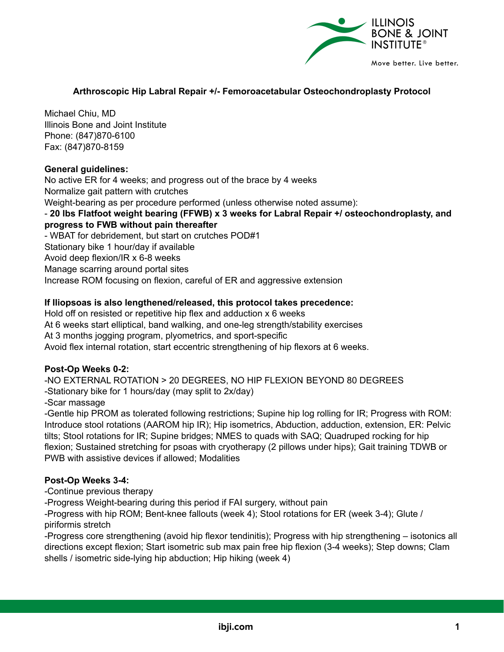

#### **Arthroscopic Hip Labral Repair +/- Femoroacetabular Osteochondroplasty Protocol**

Michael Chiu, MD Illinois Bone and Joint Institute Phone: (847)870-6100 Fax: (847)870-8159

#### **General guidelines:**

No active ER for 4 weeks; and progress out of the brace by 4 weeks Normalize gait pattern with crutches Weight-bearing as per procedure performed (unless otherwise noted assume): - **20 lbs Flatfoot weight bearing (FFWB) x 3 weeks for Labral Repair +/ osteochondroplasty, and progress to FWB without pain thereafter** - WBAT for debridement, but start on crutches POD#1 Stationary bike 1 hour/day if available Avoid deep flexion/IR x 6-8 weeks Manage scarring around portal sites Increase ROM focusing on flexion, careful of ER and aggressive extension

# **If Iliopsoas is also lengthened/released, this protocol takes precedence:**

Hold off on resisted or repetitive hip flex and adduction x 6 weeks At 6 weeks start elliptical, band walking, and one-leg strength/stability exercises At 3 months jogging program, plyometrics, and sport-specific Avoid flex internal rotation, start eccentric strengthening of hip flexors at 6 weeks.

# **Post-Op Weeks 0-2:**

-NO EXTERNAL ROTATION > 20 DEGREES, NO HIP FLEXION BEYOND 80 DEGREES

-Stationary bike for 1 hours/day (may split to 2x/day)

-Scar massage

-Gentle hip PROM as tolerated following restrictions; Supine hip log rolling for IR; Progress with ROM: Introduce stool rotations (AAROM hip IR); Hip isometrics, Abduction, adduction, extension, ER: Pelvic tilts; Stool rotations for IR; Supine bridges; NMES to quads with SAQ; Quadruped rocking for hip flexion; Sustained stretching for psoas with cryotherapy (2 pillows under hips); Gait training TDWB or PWB with assistive devices if allowed; Modalities

# **Post-Op Weeks 3-4:**

-Continue previous therapy

-Progress Weight-bearing during this period if FAI surgery, without pain

-Progress with hip ROM; Bent-knee fallouts (week 4); Stool rotations for ER (week 3-4); Glute / piriformis stretch

-Progress core strengthening (avoid hip flexor tendinitis); Progress with hip strengthening – isotonics all directions except flexion; Start isometric sub max pain free hip flexion (3-4 weeks); Step downs; Clam shells / isometric side-lying hip abduction; Hip hiking (week 4)